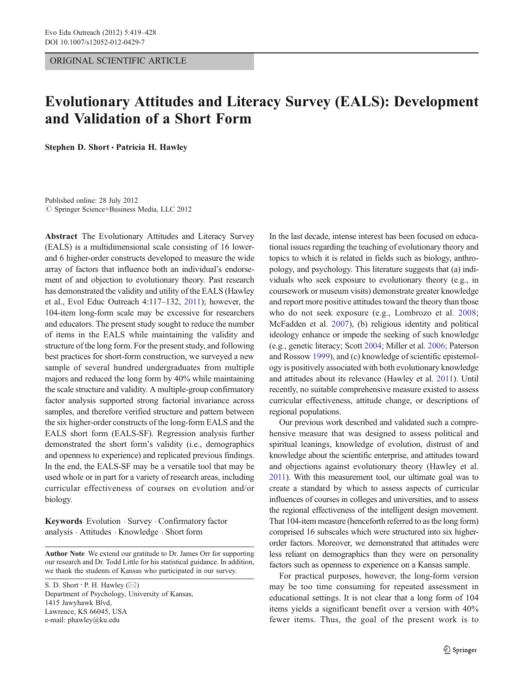ORIGINAL SCIENTIFIC ARTICLE

# Evolutionary Attitudes and Literacy Survey (EALS): Development and Validation of a Short Form

Stephen D. Short · Patricia H. Hawley

Published online: 28 July 2012  $©$  Springer Science+Business Media, LLC 2012

Abstract The Evolutionary Attitudes and Literacy Survey (EALS) is a multidimensional scale consisting of 16 lowerand 6 higher-order constructs developed to measure the wide array of factors that influence both an individual's endorsement of and objection to evolutionary theory. Past research has demonstrated the validity and utility of the EALS (Hawley et al., Evol Educ Outreach 4:117–132, [2011\)](#page-9-0); however, the 104-item long-form scale may be excessive for researchers and educators. The present study sought to reduce the number of items in the EALS while maintaining the validity and structure of the long form. For the present study, and following best practices for short-form construction, we surveyed a new sample of several hundred undergraduates from multiple majors and reduced the long form by 40% while maintaining the scale structure and validity. A multiple-group confirmatory factor analysis supported strong factorial invariance across samples, and therefore verified structure and pattern between the six higher-order constructs of the long-form EALS and the EALS short form (EALS-SF). Regression analysis further demonstrated the short form's validity (i.e., demographics and openness to experience) and replicated previous findings. In the end, the EALS-SF may be a versatile tool that may be used whole or in part for a variety of research areas, including curricular effectiveness of courses on evolution and/or biology.

Keywords Evolution . Survey . Confirmatory factor analysis . Attitudes . Knowledge . Short form

Author Note We extend our gratitude to Dr. James Orr for supporting our research and Dr. Todd Little for his statistical guidance. In addition, we thank the students of Kansas who participated in our survey.

S. D. Short  $\cdot$  P. H. Hawley ( $\boxtimes$ ) Department of Psychology, University of Kansas, 1415 Jawyhawk Blvd, Lawrence, KS 66045, USA e-mail: phawley@ku.edu

In the last decade, intense interest has been focused on educational issues regarding the teaching of evolutionary theory and topics to which it is related in fields such as biology, anthropology, and psychology. This literature suggests that (a) individuals who seek exposure to evolutionary theory (e.g., in coursework or museum visits) demonstrate greater knowledge and report more positive attitudes toward the theory than those who do not seek exposure (e.g., Lombrozo et al. [2008;](#page-9-0) McFadden et al. [2007\)](#page-9-0), (b) religious identity and political ideology enhance or impede the seeking of such knowledge (e.g., genetic literacy; Scott [2004;](#page-9-0) Miller et al. [2006;](#page-9-0) Paterson and Rossow [1999\)](#page-9-0), and (c) knowledge of scientific epistemology is positively associated with both evolutionary knowledge and attitudes about its relevance (Hawley et al. [2011\)](#page-9-0). Until recently, no suitable comprehensive measure existed to assess curricular effectiveness, attitude change, or descriptions of regional populations.

Our previous work described and validated such a comprehensive measure that was designed to assess political and spiritual leanings, knowledge of evolution, distrust of and knowledge about the scientific enterprise, and attitudes toward and objections against evolutionary theory (Hawley et al. [2011](#page-9-0)). With this measurement tool, our ultimate goal was to create a standard by which to assess aspects of curricular influences of courses in colleges and universities, and to assess the regional effectiveness of the intelligent design movement. That 104-item measure (henceforth referred to as the long form) comprised 16 subscales which were structured into six higherorder factors. Moreover, we demonstrated that attitudes were less reliant on demographics than they were on personality factors such as openness to experience on a Kansas sample.

For practical purposes, however, the long-form version may be too time consuming for repeated assessment in educational settings. It is not clear that a long form of 104 items yields a significant benefit over a version with 40% fewer items. Thus, the goal of the present work is to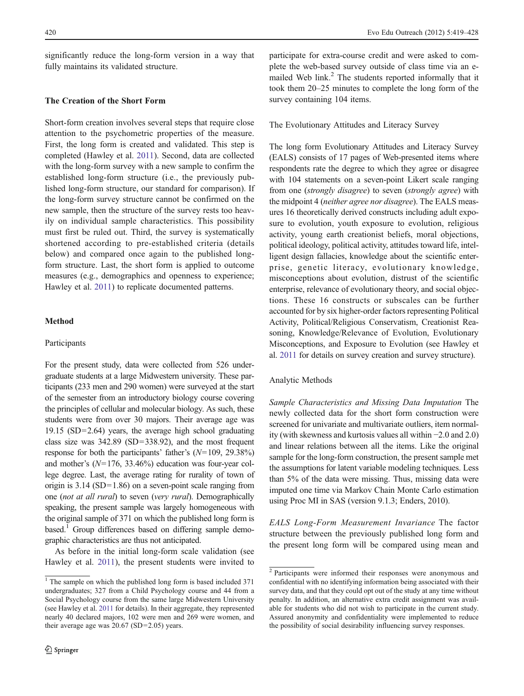significantly reduce the long-form version in a way that fully maintains its validated structure.

# The Creation of the Short Form

Short-form creation involves several steps that require close attention to the psychometric properties of the measure. First, the long form is created and validated. This step is completed (Hawley et al. [2011](#page-9-0)). Second, data are collected with the long-form survey with a new sample to confirm the established long-form structure (i.e., the previously published long-form structure, our standard for comparison). If the long-form survey structure cannot be confirmed on the new sample, then the structure of the survey rests too heavily on individual sample characteristics. This possibility must first be ruled out. Third, the survey is systematically shortened according to pre-established criteria (details below) and compared once again to the published longform structure. Last, the short form is applied to outcome measures (e.g., demographics and openness to experience; Hawley et al. [2011](#page-9-0)) to replicate documented patterns.

# Method

#### Participants

For the present study, data were collected from 526 undergraduate students at a large Midwestern university. These participants (233 men and 290 women) were surveyed at the start of the semester from an introductory biology course covering the principles of cellular and molecular biology. As such, these students were from over 30 majors. Their average age was 19.15 (SD=2.64) years, the average high school graduating class size was  $342.89$  (SD=338.92), and the most frequent response for both the participants' father's  $(N=109, 29.38\%)$ and mother's  $(N=176, 33.46%)$  education was four-year college degree. Last, the average rating for rurality of town of origin is  $3.14$  (SD=1.86) on a seven-point scale ranging from one (not at all rural) to seven (very rural). Demographically speaking, the present sample was largely homogeneous with the original sample of 371 on which the published long form is based.<sup>1</sup> Group differences based on differing sample demographic characteristics are thus not anticipated.

As before in the initial long-form scale validation (see Hawley et al. [2011\)](#page-9-0), the present students were invited to

participate for extra-course credit and were asked to complete the web-based survey outside of class time via an emailed Web link.<sup>2</sup> The students reported informally that it took them 20–25 minutes to complete the long form of the survey containing 104 items.

# The Evolutionary Attitudes and Literacy Survey

The long form Evolutionary Attitudes and Literacy Survey (EALS) consists of 17 pages of Web-presented items where respondents rate the degree to which they agree or disagree with 104 statements on a seven-point Likert scale ranging from one (strongly disagree) to seven (strongly agree) with the midpoint 4 (neither agree nor disagree). The EALS measures 16 theoretically derived constructs including adult exposure to evolution, youth exposure to evolution, religious activity, young earth creationist beliefs, moral objections, political ideology, political activity, attitudes toward life, intelligent design fallacies, knowledge about the scientific enterprise, genetic literacy, evolutionary knowledge, misconceptions about evolution, distrust of the scientific enterprise, relevance of evolutionary theory, and social objections. These 16 constructs or subscales can be further accounted for by six higher-order factors representing Political Activity, Political/Religious Conservatism, Creationist Reasoning, Knowledge/Relevance of Evolution, Evolutionary Misconceptions, and Exposure to Evolution (see Hawley et al. [2011](#page-9-0) for details on survey creation and survey structure).

#### Analytic Methods

Sample Characteristics and Missing Data Imputation The newly collected data for the short form construction were screened for univariate and multivariate outliers, item normality (with skewness and kurtosis values all within −2.0 and 2.0) and linear relations between all the items. Like the original sample for the long-form construction, the present sample met the assumptions for latent variable modeling techniques. Less than 5% of the data were missing. Thus, missing data were imputed one time via Markov Chain Monte Carlo estimation using Proc MI in SAS (version 9.1.3; Enders, 2010).

EALS Long-Form Measurement Invariance The factor structure between the previously published long form and the present long form will be compared using mean and

 $\frac{1}{1}$  The sample on which the published long form is based included 371 undergraduates; 327 from a Child Psychology course and 44 from a Social Psychology course from the same large Midwestern University (see Hawley et al. [2011](#page-9-0) for details). In their aggregate, they represented nearly 40 declared majors, 102 were men and 269 were women, and their average age was  $20.67$  (SD=2.05) years.

<sup>2</sup> Participants were informed their responses were anonymous and confidential with no identifying information being associated with their survey data, and that they could opt out of the study at any time without penalty. In addition, an alternative extra credit assignment was available for students who did not wish to participate in the current study. Assured anonymity and confidentiality were implemented to reduce the possibility of social desirability influencing survey responses.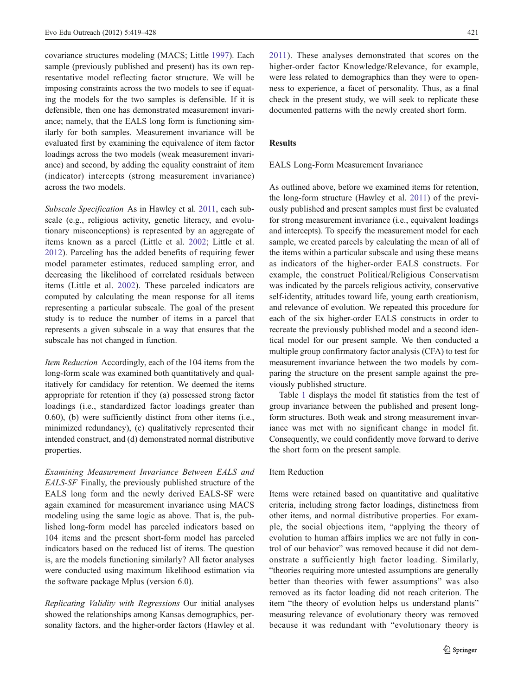covariance structures modeling (MACS; Little [1997\)](#page-9-0). Each sample (previously published and present) has its own representative model reflecting factor structure. We will be imposing constraints across the two models to see if equating the models for the two samples is defensible. If it is defensible, then one has demonstrated measurement invariance; namely, that the EALS long form is functioning similarly for both samples. Measurement invariance will be evaluated first by examining the equivalence of item factor loadings across the two models (weak measurement invariance) and second, by adding the equality constraint of item (indicator) intercepts (strong measurement invariance) across the two models.

Subscale Specification As in Hawley et al. [2011,](#page-9-0) each subscale (e.g., religious activity, genetic literacy, and evolutionary misconceptions) is represented by an aggregate of items known as a parcel (Little et al. [2002;](#page-9-0) Little et al. [2012\)](#page-9-0). Parceling has the added benefits of requiring fewer model parameter estimates, reduced sampling error, and decreasing the likelihood of correlated residuals between items (Little et al. [2002](#page-9-0)). These parceled indicators are computed by calculating the mean response for all items representing a particular subscale. The goal of the present study is to reduce the number of items in a parcel that represents a given subscale in a way that ensures that the subscale has not changed in function.

Item Reduction Accordingly, each of the 104 items from the long-form scale was examined both quantitatively and qualitatively for candidacy for retention. We deemed the items appropriate for retention if they (a) possessed strong factor loadings (i.e., standardized factor loadings greater than 0.60), (b) were sufficiently distinct from other items (i.e., minimized redundancy), (c) qualitatively represented their intended construct, and (d) demonstrated normal distributive properties.

Examining Measurement Invariance Between EALS and EALS-SF Finally, the previously published structure of the EALS long form and the newly derived EALS-SF were again examined for measurement invariance using MACS modeling using the same logic as above. That is, the published long-form model has parceled indicators based on 104 items and the present short-form model has parceled indicators based on the reduced list of items. The question is, are the models functioning similarly? All factor analyses were conducted using maximum likelihood estimation via the software package Mplus (version 6.0).

Replicating Validity with Regressions Our initial analyses showed the relationships among Kansas demographics, personality factors, and the higher-order factors (Hawley et al.

[2011\)](#page-9-0). These analyses demonstrated that scores on the higher-order factor Knowledge/Relevance, for example, were less related to demographics than they were to openness to experience, a facet of personality. Thus, as a final check in the present study, we will seek to replicate these documented patterns with the newly created short form.

# Results

#### EALS Long-Form Measurement Invariance

As outlined above, before we examined items for retention, the long-form structure (Hawley et al. [2011\)](#page-9-0) of the previously published and present samples must first be evaluated for strong measurement invariance (i.e., equivalent loadings and intercepts). To specify the measurement model for each sample, we created parcels by calculating the mean of all of the items within a particular subscale and using these means as indicators of the higher-order EALS constructs. For example, the construct Political/Religious Conservatism was indicated by the parcels religious activity, conservative self-identity, attitudes toward life, young earth creationism, and relevance of evolution. We repeated this procedure for each of the six higher-order EALS constructs in order to recreate the previously published model and a second identical model for our present sample. We then conducted a multiple group confirmatory factor analysis (CFA) to test for measurement invariance between the two models by comparing the structure on the present sample against the previously published structure.

Table [1](#page-3-0) displays the model fit statistics from the test of group invariance between the published and present longform structures. Both weak and strong measurement invariance was met with no significant change in model fit. Consequently, we could confidently move forward to derive the short form on the present sample.

#### Item Reduction

Items were retained based on quantitative and qualitative criteria, including strong factor loadings, distinctness from other items, and normal distributive properties. For example, the social objections item, "applying the theory of evolution to human affairs implies we are not fully in control of our behavior" was removed because it did not demonstrate a sufficiently high factor loading. Similarly, "theories requiring more untested assumptions are generally better than theories with fewer assumptions" was also removed as its factor loading did not reach criterion. The item "the theory of evolution helps us understand plants" measuring relevance of evolutionary theory was removed because it was redundant with "evolutionary theory is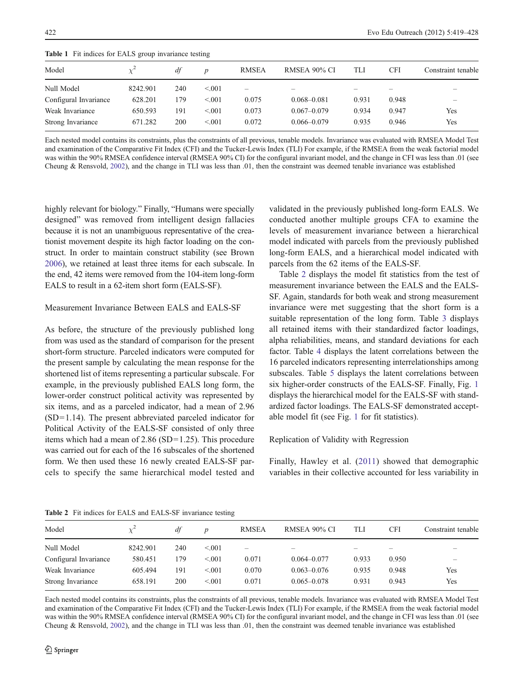| <b>Table 1</b> The meaners for Early group invariance results |          |     |                  |              |                 |       |            |                          |
|---------------------------------------------------------------|----------|-----|------------------|--------------|-----------------|-------|------------|--------------------------|
| Model                                                         |          | df  | $\boldsymbol{D}$ | <b>RMSEA</b> | RMSEA 90% CI    | TLI   | <b>CFI</b> | Constraint tenable       |
| Null Model                                                    | 8242.901 | 240 | < 0.01           | -            | –               | $-$   |            | $\qquad \qquad \qquad$   |
| Configural Invariance                                         | 628.201  | 179 | < 0.01           | 0.075        | $0.068 - 0.081$ | 0.931 | 0.948      | $\overline{\phantom{0}}$ |
| Weak Invariance                                               | 650.593  | 191 | < 0.01           | 0.073        | $0.067 - 0.079$ | 0.934 | 0.947      | Yes                      |
| Strong Invariance                                             | 671.282  | 200 | < 0.01           | 0.072        | $0.066 - 0.079$ | 0.935 | 0.946      | Yes                      |

<span id="page-3-0"></span>Table 1 Fit indices for EALS group invariance testing

Each nested model contains its constraints, plus the constraints of all previous, tenable models. Invariance was evaluated with RMSEA Model Test and examination of the Comparative Fit Index (CFI) and the Tucker-Lewis Index (TLI) For example, if the RMSEA from the weak factorial model was within the 90% RMSEA confidence interval (RMSEA 90% CI) for the configural invariant model, and the change in CFI was less than .01 (see Cheung & Rensvold, [2002](#page-9-0)), and the change in TLI was less than .01, then the constraint was deemed tenable invariance was established

highly relevant for biology." Finally, "Humans were specially designed" was removed from intelligent design fallacies because it is not an unambiguous representative of the creationist movement despite its high factor loading on the construct. In order to maintain construct stability (see Brown [2006\)](#page-9-0), we retained at least three items for each subscale. In the end, 42 items were removed from the 104-item long-form EALS to result in a 62-item short form (EALS-SF).

## Measurement Invariance Between EALS and EALS-SF

As before, the structure of the previously published long from was used as the standard of comparison for the present short-form structure. Parceled indicators were computed for the present sample by calculating the mean response for the shortened list of items representing a particular subscale. For example, in the previously published EALS long form, the lower-order construct political activity was represented by six items, and as a parceled indicator, had a mean of 2.96  $(SD=1.14)$ . The present abbreviated parceled indicator for Political Activity of the EALS-SF consisted of only three items which had a mean of  $2.86$  (SD=1.25). This procedure was carried out for each of the 16 subscales of the shortened form. We then used these 16 newly created EALS-SF parcels to specify the same hierarchical model tested and validated in the previously published long-form EALS. We conducted another multiple groups CFA to examine the levels of measurement invariance between a hierarchical model indicated with parcels from the previously published long-form EALS, and a hierarchical model indicated with parcels from the 62 items of the EALS-SF.

Table 2 displays the model fit statistics from the test of measurement invariance between the EALS and the EALS-SF. Again, standards for both weak and strong measurement invariance were met suggesting that the short form is a suitable representation of the long form. Table [3](#page-4-0) displays all retained items with their standardized factor loadings, alpha reliabilities, means, and standard deviations for each factor. Table [4](#page-6-0) displays the latent correlations between the 16 parceled indicators representing interrelationships among subscales. Table [5](#page-7-0) displays the latent correlations between six higher-order constructs of the EALS-SF. Finally, Fig. [1](#page-7-0) displays the hierarchical model for the EALS-SF with standardized factor loadings. The EALS-SF demonstrated acceptable model fit (see Fig. [1](#page-7-0) for fit statistics).

#### Replication of Validity with Regression

Finally, Hawley et al. ([2011\)](#page-9-0) showed that demographic variables in their collective accounted for less variability in

Model  $\chi^2$  df p RMSEA RMSEA 90% CI TLI CFI Constraint tenable Null Model 8242.901 240 <.001 – – – – – – Configural Invariance  $580.451$   $179$   $\leq 0.01$   $0.071$   $0.064 - 0.077$   $0.933$   $0.950$ Weak Invariance  $605.494$   $191$   $40070$   $0.070$   $0.063 - 0.076$   $0.935$   $0.948$  Yes Strong Invariance  $658.191$  200 <.001 0.071 0.065–0.078 0.931 0.943 Yes

Table 2 Fit indices for EALS and EALS-SF invariance testing

Each nested model contains its constraints, plus the constraints of all previous, tenable models. Invariance was evaluated with RMSEA Model Test and examination of the Comparative Fit Index (CFI) and the Tucker-Lewis Index (TLI) For example, if the RMSEA from the weak factorial model was within the 90% RMSEA confidence interval (RMSEA 90% CI) for the configural invariant model, and the change in CFI was less than .01 (see Cheung & Rensvold, [2002](#page-9-0)), and the change in TLI was less than .01, then the constraint was deemed tenable invariance was established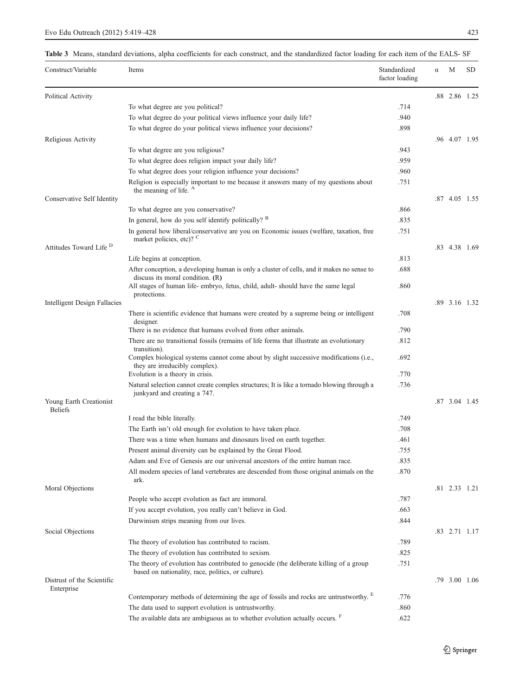# <span id="page-4-0"></span>Table 3 Means, standard deviations, alpha coefficients for each construct, and the standardized factor loading for each item of the EALS- SF

| Construct/Variable                 | Items                                                                                                                                                                                              | Standardized<br>factor loading | α | M             | SD. |
|------------------------------------|----------------------------------------------------------------------------------------------------------------------------------------------------------------------------------------------------|--------------------------------|---|---------------|-----|
| Political Activity                 |                                                                                                                                                                                                    |                                |   | .88 2.86 1.25 |     |
|                                    | To what degree are you political?                                                                                                                                                                  | .714                           |   |               |     |
|                                    | To what degree do your political views influence your daily life?                                                                                                                                  | .940                           |   |               |     |
|                                    | To what degree do your political views influence your decisions?                                                                                                                                   | .898                           |   |               |     |
| Religious Activity                 |                                                                                                                                                                                                    |                                |   | .96 4.07 1.95 |     |
|                                    | To what degree are you religious?                                                                                                                                                                  | .943                           |   |               |     |
|                                    | To what degree does religion impact your daily life?                                                                                                                                               | .959                           |   |               |     |
|                                    | To what degree does your religion influence your decisions?                                                                                                                                        | .960                           |   |               |     |
|                                    | Religion is especially important to me because it answers many of my questions about<br>the meaning of life. <sup>A</sup>                                                                          | .751                           |   |               |     |
| Conservative Self Identity         |                                                                                                                                                                                                    |                                |   | .87 4.05 1.55 |     |
|                                    | To what degree are you conservative?                                                                                                                                                               | .866                           |   |               |     |
|                                    | In general, how do you self identify politically? <sup>B</sup>                                                                                                                                     | .835                           |   |               |     |
|                                    | In general how liberal/conservative are you on Economic issues (welfare, taxation, free                                                                                                            | .751                           |   |               |     |
|                                    | market policies, etc)? <sup>C</sup>                                                                                                                                                                |                                |   |               |     |
| Attitudes Toward Life <sup>D</sup> |                                                                                                                                                                                                    |                                |   | .83 4.38 1.69 |     |
|                                    | Life begins at conception.                                                                                                                                                                         | .813                           |   |               |     |
|                                    | After conception, a developing human is only a cluster of cells, and it makes no sense to<br>discuss its moral condition. (R)                                                                      | .688                           |   |               |     |
|                                    | All stages of human life-embryo, fetus, child, adult-should have the same legal<br>protections.                                                                                                    | .860                           |   |               |     |
| Intelligent Design Fallacies       |                                                                                                                                                                                                    |                                |   | .89 3.16 1.32 |     |
|                                    | There is scientific evidence that humans were created by a supreme being or intelligent<br>designer.                                                                                               | .708                           |   |               |     |
|                                    | There is no evidence that humans evolved from other animals.                                                                                                                                       | .790                           |   |               |     |
|                                    | There are no transitional fossils (remains of life forms that illustrate an evolutionary<br>transition).<br>Complex biological systems cannot come about by slight successive modifications (i.e., | .812<br>.692                   |   |               |     |
|                                    | they are irreducibly complex).<br>Evolution is a theory in crisis.                                                                                                                                 | .770                           |   |               |     |
|                                    | Natural selection cannot create complex structures; It is like a tornado blowing through a<br>junkyard and creating a 747.                                                                         | .736                           |   |               |     |
| Young Earth Creationist            |                                                                                                                                                                                                    |                                |   | .87 3.04 1.45 |     |
| <b>Beliefs</b>                     |                                                                                                                                                                                                    | .749                           |   |               |     |
|                                    | I read the bible literally.                                                                                                                                                                        | .708                           |   |               |     |
|                                    | The Earth isn't old enough for evolution to have taken place.                                                                                                                                      | .461                           |   |               |     |
|                                    | There was a time when humans and dinosaurs lived on earth together.<br>Present animal diversity can be explained by the Great Flood.                                                               |                                |   |               |     |
|                                    | Adam and Eve of Genesis are our universal ancestors of the entire human race.                                                                                                                      | .755                           |   |               |     |
|                                    | All modern species of land vertebrates are descended from those original animals on the                                                                                                            | .835<br>.870                   |   |               |     |
| Moral Objections                   | ark.                                                                                                                                                                                               |                                |   | .81 2.33 1.21 |     |
|                                    | People who accept evolution as fact are immoral.                                                                                                                                                   | .787                           |   |               |     |
|                                    | If you accept evolution, you really can't believe in God.                                                                                                                                          | .663                           |   |               |     |
|                                    | Darwinism strips meaning from our lives.                                                                                                                                                           |                                |   |               |     |
|                                    |                                                                                                                                                                                                    | .844                           |   |               |     |
| Social Objections                  |                                                                                                                                                                                                    |                                |   | .83 2.71 1.17 |     |
|                                    | The theory of evolution has contributed to racism.                                                                                                                                                 | .789                           |   |               |     |
|                                    | The theory of evolution has contributed to sexism.                                                                                                                                                 | .825                           |   |               |     |
| Distrust of the Scientific         | The theory of evolution has contributed to genocide (the deliberate killing of a group<br>based on nationality, race, politics, or culture).                                                       | .751                           |   | .79 3.00 1.06 |     |
| Enterprise                         |                                                                                                                                                                                                    |                                |   |               |     |
|                                    | Contemporary methods of determining the age of fossils and rocks are untrustworthy.                                                                                                                | .776                           |   |               |     |
|                                    | The data used to support evolution is untrustworthy.                                                                                                                                               | .860                           |   |               |     |
|                                    | The available data are ambiguous as to whether evolution actually occurs. <sup>F</sup>                                                                                                             | .622                           |   |               |     |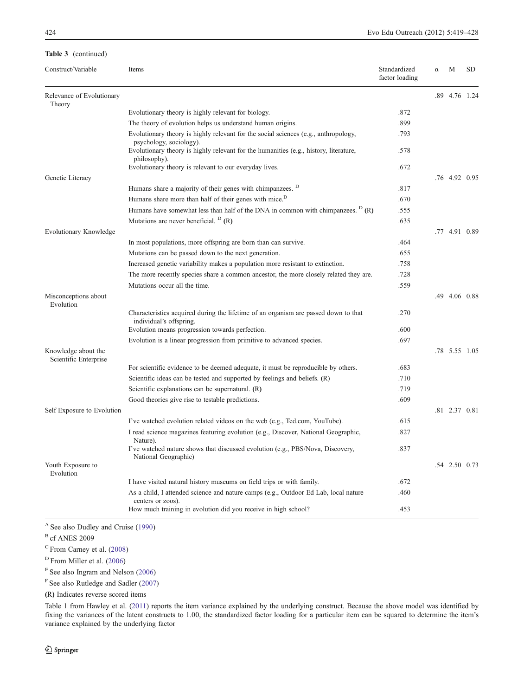#### Table 3 (continued)

| Construct/Variable                           | Items                                                                                                          | Standardized<br>factor loading | α | М             | SD |
|----------------------------------------------|----------------------------------------------------------------------------------------------------------------|--------------------------------|---|---------------|----|
| Relevance of Evolutionary<br>Theory          |                                                                                                                |                                |   | .89 4.76 1.24 |    |
|                                              | Evolutionary theory is highly relevant for biology.                                                            | .872                           |   |               |    |
|                                              | The theory of evolution helps us understand human origins.                                                     | .899                           |   |               |    |
|                                              | Evolutionary theory is highly relevant for the social sciences (e.g., anthropology,<br>psychology, sociology). | .793                           |   |               |    |
|                                              | Evolutionary theory is highly relevant for the humanities (e.g., history, literature,<br>philosophy).          | .578                           |   |               |    |
|                                              | Evolutionary theory is relevant to our everyday lives.                                                         | .672                           |   |               |    |
| Genetic Literacy                             |                                                                                                                |                                |   | .76 4.92 0.95 |    |
|                                              | Humans share a majority of their genes with chimpanzees. <sup>D</sup>                                          | .817                           |   |               |    |
|                                              | Humans share more than half of their genes with mice. <sup>D</sup>                                             | .670                           |   |               |    |
|                                              | Humans have somewhat less than half of the DNA in common with chimpanzees. $D(R)$                              | .555                           |   |               |    |
|                                              | Mutations are never beneficial. $D(R)$                                                                         | .635                           |   |               |    |
| <b>Evolutionary Knowledge</b>                |                                                                                                                |                                |   | .77 4.91 0.89 |    |
|                                              | In most populations, more offspring are born than can survive.                                                 | .464                           |   |               |    |
|                                              | Mutations can be passed down to the next generation.                                                           | .655                           |   |               |    |
|                                              | Increased genetic variability makes a population more resistant to extinction.                                 | .758                           |   |               |    |
|                                              | The more recently species share a common ancestor, the more closely related they are.                          | .728                           |   |               |    |
|                                              | Mutations occur all the time.                                                                                  | .559                           |   |               |    |
| Misconceptions about<br>Evolution            |                                                                                                                |                                |   | .49 4.06 0.88 |    |
|                                              | Characteristics acquired during the lifetime of an organism are passed down to that<br>individual's offspring. | .270                           |   |               |    |
|                                              | Evolution means progression towards perfection.                                                                | .600                           |   |               |    |
|                                              | Evolution is a linear progression from primitive to advanced species.                                          | .697                           |   |               |    |
| Knowledge about the<br>Scientific Enterprise |                                                                                                                |                                |   | .78 5.55 1.05 |    |
|                                              | For scientific evidence to be deemed adequate, it must be reproducible by others.                              | .683                           |   |               |    |
|                                              | Scientific ideas can be tested and supported by feelings and beliefs. (R)                                      | .710                           |   |               |    |
|                                              | Scientific explanations can be supernatural. (R)                                                               | .719                           |   |               |    |
|                                              | Good theories give rise to testable predictions.                                                               | .609                           |   |               |    |
| Self Exposure to Evolution                   |                                                                                                                |                                |   | .81 2.37 0.81 |    |
|                                              | I've watched evolution related videos on the web (e.g., Ted.com, YouTube).                                     | .615                           |   |               |    |
|                                              | I read science magazines featuring evolution (e.g., Discover, National Geographic,<br>Nature).                 | .827                           |   |               |    |
|                                              | I've watched nature shows that discussed evolution (e.g., PBS/Nova, Discovery,<br>National Geographic)         | .837                           |   |               |    |
| Youth Exposure to<br>Evolution               |                                                                                                                |                                |   | .54 2.50 0.73 |    |
|                                              | I have visited natural history museums on field trips or with family.                                          | .672                           |   |               |    |
|                                              | As a child, I attended science and nature camps (e.g., Outdoor Ed Lab, local nature<br>centers or zoos).       | .460                           |   |               |    |
|                                              | How much training in evolution did you receive in high school?                                                 | .453                           |   |               |    |

<sup>A</sup> See also Dudley and Cruise ([1990\)](#page-9-0)

<sup>B</sup> cf ANES 2009

<sup>C</sup> From Carney et al. [\(2008](#page-9-0))

<sup>D</sup> From Miller et al. [\(2006](#page-9-0))

 $E$  See also Ingram and Nelson ([2006\)](#page-9-0)

<sup>F</sup> See also Rutledge and Sadler ([2007\)](#page-9-0)

(R) Indicates reverse scored items

Table 1 from Hawley et al. ([2011\)](#page-9-0) reports the item variance explained by the underlying construct. Because the above model was identified by fixing the variances of the latent constructs to 1.00, the standardized factor loading for a particular item can be squared to determine the item's variance explained by the underlying factor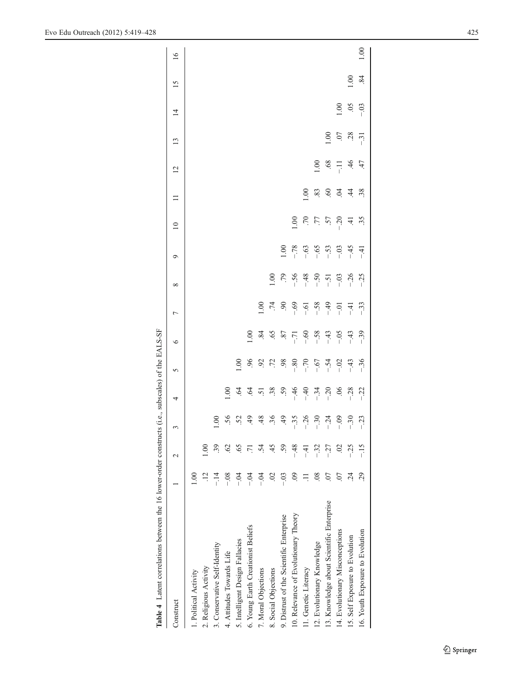<span id="page-6-0"></span>

| Table 4 Latent correlations between the 16 lower-order constructs (i.e., subscales) of the EALS-SF |                |                 |             |                |               |                |                |         |               |                 |                |                 |        |                |                 |                 |
|----------------------------------------------------------------------------------------------------|----------------|-----------------|-------------|----------------|---------------|----------------|----------------|---------|---------------|-----------------|----------------|-----------------|--------|----------------|-----------------|-----------------|
| Construct                                                                                          |                |                 | 3           | 4              | 5             | $\circ$        | L              | ∞       | ç             | $\overline{10}$ | $\Box$         | $\overline{12}$ | 13     | $\overline{4}$ | $\overline{15}$ | $\overline{16}$ |
| 1. Political Activity                                                                              | 0.00           |                 |             |                |               |                |                |         |               |                 |                |                 |        |                |                 |                 |
| 2. Religious Activity                                                                              |                |                 |             |                |               |                |                |         |               |                 |                |                 |        |                |                 |                 |
| 3. Conservative Self-Identity                                                                      |                | 39              | 00.1        |                |               |                |                |         |               |                 |                |                 |        |                |                 |                 |
| 4. Attitudes Towards Life                                                                          | $\frac{8}{2}$  | $\overline{62}$ | .56         | 00.1           |               |                |                |         |               |                 |                |                 |        |                |                 |                 |
| 5. Intelligent Design Fallacies                                                                    | $-5$           | 65              | 52          | $\ddot{q}$     | $\frac{1}{2}$ |                |                |         |               |                 |                |                 |        |                |                 |                 |
| 6. Young Earth Creationist Beliefs                                                                 | $-0.1$         |                 | 49          | $\ddot{q}$     | $\mathcal{S}$ | $\frac{8}{10}$ |                |         |               |                 |                |                 |        |                |                 |                 |
| 7. Moral Objections                                                                                | $-0.4$         | $\dot{5}$       | 48          | $\overline{5}$ | 92            | 84             | 00.1           |         |               |                 |                |                 |        |                |                 |                 |
| 8. Social Objections                                                                               | $\approx$      | 45              | $\ddot{36}$ | .38            | $\ddot{z}$    | 65             | $\ddot{z}$     | 0.00    |               |                 |                |                 |        |                |                 |                 |
| 9. Distrust of the Scientific Enterprise                                                           | $-0.3$         | 59              | 49          | 59             | 98            | $87\,$         | $\mathfrak{S}$ | .79     | 00.1          |                 |                |                 |        |                |                 |                 |
| 10. Relevance of Evolutionary Theory                                                               | $\overline{0}$ | $-48$           | $-35$       | $-46$          | $-80$         | $-71$          | $-0.69$        | $-56$   | $-78$         | 1.00            |                |                 |        |                |                 |                 |
| 11. Genetic Literacy                                                                               |                | $-4$            | $-26$       | $-40$          | $-70$         | $-60$          | $-61$          | $-48$   | $-0.63$       | .70             | $\frac{8}{10}$ |                 |        |                |                 |                 |
| 12. Evolutionary Knowledge                                                                         | $\frac{8}{2}$  | $-32$           | $-30$       | $-34$          | $-67$         | $-58$          | $-58$          | $-50$   | $-65$         | $77\,$          | 83             | 1.00            |        |                |                 |                 |
| 13. Knowledge about Scientific Enterprise                                                          | 07             | $-27$           | $-24$       | $-20$          | $-54$         | $-43$          | $-49$          | $-51$   | $-53$         | .57             | 60             | .68             | 00.1   |                |                 |                 |
| 14. Evolutionary Misconceptions                                                                    |                | $\approx$       | $-0.9$      | $\sim$         | $-0.2$        | $-0.5$         | $-0.1$         | $-0.03$ | $-0.03$       | $-20$           | S.             | 류               | $\sim$ | 1.00           |                 |                 |
| 15. Self Exposure to Evolution                                                                     | 24             | $-25$           | $-30$       | $-28$          | $-43$         | $-43$          | $-41$          | $-26$   | $-45$         | $\pm$           | $\dot{4}$      | 46              | 28     | 65             | 1.00            |                 |
| 16. Youth Exposure to Evolution                                                                    | 29             | $-15$           | $-23$       | $-22$          | $-36$         | $-39$          | $-33$          | $-25$   | $\frac{1}{4}$ | 35              | .38            | 47              | $-31$  | $-03$          | .84             | 1.00            |
|                                                                                                    |                |                 |             |                |               |                |                |         |               |                 |                |                 |        |                |                 |                 |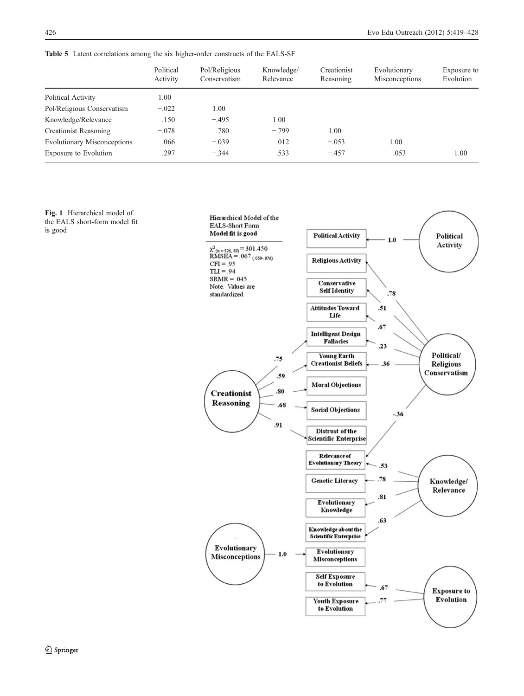<span id="page-7-0"></span>Table 5 Latent correlations among the six higher-order constructs of the EALS-SF

|                                    | Political<br>Activity | Pol/Religious<br>Conservatism | Knowledge/<br>Relevance | Creationist<br>Reasoning | Evolutionary<br>Misconceptions | Exposure to<br>Evolution |
|------------------------------------|-----------------------|-------------------------------|-------------------------|--------------------------|--------------------------------|--------------------------|
| Political Activity                 | 1.00                  |                               |                         |                          |                                |                          |
| Pol/Religious Conservatism         | $-.022$               | 1.00                          |                         |                          |                                |                          |
| Knowledge/Relevance                | .150                  | $-.495$                       | 1.00                    |                          |                                |                          |
| Creationist Reasoning              | $-.078$               | .780                          | $-.799$                 | 1.00                     |                                |                          |
| <b>Evolutionary Misconceptions</b> | .066                  | $-.039$                       | .012                    | $-.053$                  | 1.00                           |                          |
| Exposure to Evolution              | .297                  | $-.344$                       | .533                    | $-.457$                  | .053                           | 1.00                     |

Fig. 1 Hierarchical model of the EALS short-form model fit is good

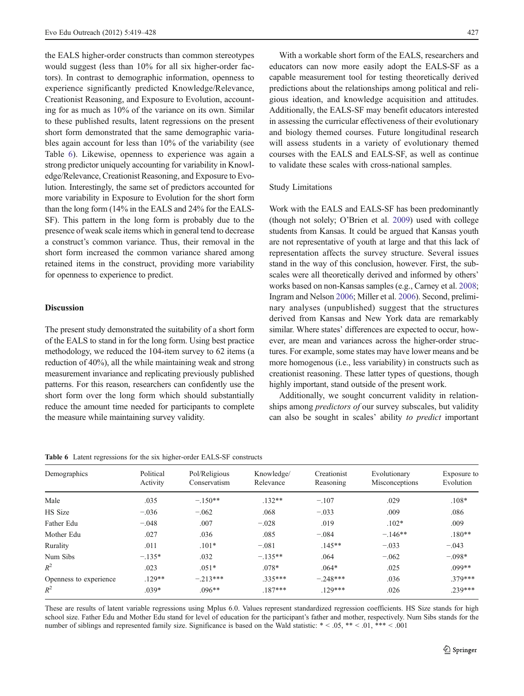the EALS higher-order constructs than common stereotypes would suggest (less than 10% for all six higher-order factors). In contrast to demographic information, openness to experience significantly predicted Knowledge/Relevance, Creationist Reasoning, and Exposure to Evolution, accounting for as much as 10% of the variance on its own. Similar to these published results, latent regressions on the present short form demonstrated that the same demographic variables again account for less than 10% of the variability (see Table 6). Likewise, openness to experience was again a strong predictor uniquely accounting for variability in Knowledge/Relevance, Creationist Reasoning, and Exposure to Evolution. Interestingly, the same set of predictors accounted for more variability in Exposure to Evolution for the short form than the long form (14% in the EALS and 24% for the EALS-SF). This pattern in the long form is probably due to the presence of weak scale items which in general tend to decrease a construct's common variance. Thus, their removal in the short form increased the common variance shared among retained items in the construct, providing more variability for openness to experience to predict.

#### Discussion

The present study demonstrated the suitability of a short form of the EALS to stand in for the long form. Using best practice methodology, we reduced the 104-item survey to 62 items (a reduction of 40%), all the while maintaining weak and strong measurement invariance and replicating previously published patterns. For this reason, researchers can confidently use the short form over the long form which should substantially reduce the amount time needed for participants to complete the measure while maintaining survey validity.

With a workable short form of the EALS, researchers and educators can now more easily adopt the EALS-SF as a capable measurement tool for testing theoretically derived predictions about the relationships among political and religious ideation, and knowledge acquisition and attitudes. Additionally, the EALS-SF may benefit educators interested in assessing the curricular effectiveness of their evolutionary and biology themed courses. Future longitudinal research will assess students in a variety of evolutionary themed courses with the EALS and EALS-SF, as well as continue to validate these scales with cross-national samples.

#### Study Limitations

Work with the EALS and EALS-SF has been predominantly (though not solely; O'Brien et al. [2009](#page-9-0)) used with college students from Kansas. It could be argued that Kansas youth are not representative of youth at large and that this lack of representation affects the survey structure. Several issues stand in the way of this conclusion, however. First, the subscales were all theoretically derived and informed by others' works based on non-Kansas samples (e.g., Carney et al. [2008;](#page-9-0) Ingram and Nelson [2006;](#page-9-0) Miller et al. [2006](#page-9-0)). Second, preliminary analyses (unpublished) suggest that the structures derived from Kansas and New York data are remarkably similar. Where states' differences are expected to occur, however, are mean and variances across the higher-order structures. For example, some states may have lower means and be more homogenous (i.e., less variability) in constructs such as creationist reasoning. These latter types of questions, though highly important, stand outside of the present work.

Additionally, we sought concurrent validity in relationships among *predictors of* our survey subscales, but validity can also be sought in scales' ability to predict important

| Table 6 Latent regressions for the six higher-order EALS-SF constructs |  |
|------------------------------------------------------------------------|--|
|------------------------------------------------------------------------|--|

| Demographics           | Political<br>Activity | Pol/Religious<br>Conservatism | Knowledge/<br>Relevance | Creationist<br>Reasoning | Evolutionary<br>Misconceptions | Exposure to<br>Evolution |
|------------------------|-----------------------|-------------------------------|-------------------------|--------------------------|--------------------------------|--------------------------|
| Male                   | .035                  | $-.150**$                     | $.132**$                | $-.107$                  | .029                           | $.108*$                  |
| HS Size                | $-.036$               | $-.062$                       | .068                    | $-.033$                  | .009                           | .086                     |
| Father Edu             | $-.048$               | .007                          | $-.028$                 | .019                     | $.102*$                        | .009                     |
| Mother Edu             | .027                  | .036                          | .085                    | $-.084$                  | $-.146**$                      | $.180**$                 |
| Rurality               | .011                  | $.101*$                       | $-.081$                 | $.145**$                 | $-.033$                        | $-.043$                  |
| Num Sibs               | $-.135*$              | .032                          | $-.135**$               | .064                     | $-.062$                        | $-.098*$                 |
| $R^2$                  | .023                  | $.051*$                       | $.078*$                 | $.064*$                  | .025                           | $099**$                  |
| Openness to experience | $.129**$              | $-.213***$                    | $.335***$               | $-.248***$               | .036                           | 379***                   |
| $R^2$                  | $.039*$               | $.096**$                      | $.187***$               | $.129***$                | .026                           | $239***$                 |

These are results of latent variable regressions using Mplus 6.0. Values represent standardized regression coefficients. HS Size stands for high school size. Father Edu and Mother Edu stand for level of education for the participant's father and mother, respectively. Num Sibs stands for the number of siblings and represented family size. Significance is based on the Wald statistic:  $* < .05$ ,  $** < .01$ ,  $*** < .001$